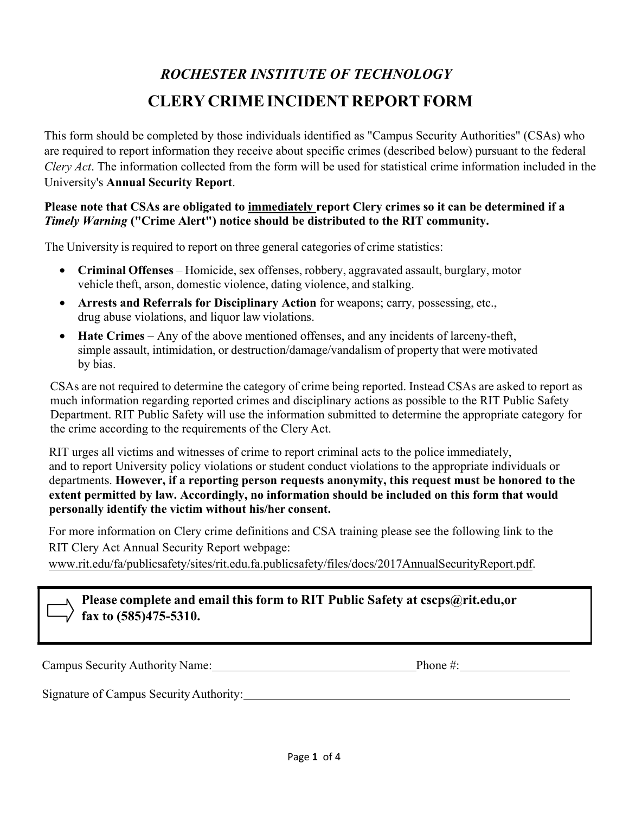# *ROCHESTER INSTITUTE OF TECHNOLOGY* **CLERY CRIME INCIDENT REPORT FORM**

This form should be completed by those individuals identified as "Campus Security Authorities" (CSAs) who are required to report information they receive about specific crimes (described below) pursuant to the federal *Clery Act*. The information collected from the form will be used for statistical crime information included in the University's **Annual Security Report**.

### **Please note that CSAs are obligated to immediately report Clery crimes so it can be determined if a** *Timely Warning* **("Crime Alert") notice should be distributed to the RIT community.**

The University is required to report on three general categories of crime statistics:

- **Criminal Offenses**  Homicide, sex offenses, robbery, aggravated assault, burglary, motor vehicle theft, arson, domestic violence, dating violence, and stalking.
- **Arrests and Referrals for Disciplinary Action** for weapons; carry, possessing, etc., drug abuse violations, and liquor law violations.
- **Hate Crimes** Any of the above mentioned offenses, and any incidents of larceny-theft, simple assault, intimidation, or destruction/damage/vandalism of property that were motivated by bias.

CSAs are not required to determine the category of crime being reported. Instead CSAs are asked to report as much information regarding reported crimes and disciplinary actions as possible to the RIT Public Safety Department. RIT Public Safety will use the information submitted to determine the appropriate category for the crime according to the requirements of the Clery Act.

RIT urges all victims and witnesses of crime to report criminal acts to the police immediately, and to report University policy violations or student conduct violations to the appropriate individuals or departments. **However, if a reporting person requests anonymity, this request must be honored to the extent permitted by law. Accordingly, no information should be included on this form that would personally identify the victim without his/her consent.**

For more information on Clery crime definitions and CSA training please see the following link to the RIT Clery Act Annual Security Report webpage:

www.rit.edu/fa/publicsafety/sites/rit.edu.fa.publicsafety/files/docs/2017AnnualSecurityReport.pdf.

## **Please complete and email this form to RIT Public Safety at cscps@rit.edu,or fax to (585)475-5310.**

Campus Security Authority Name: Phone #:

Signature of Campus Security Authority: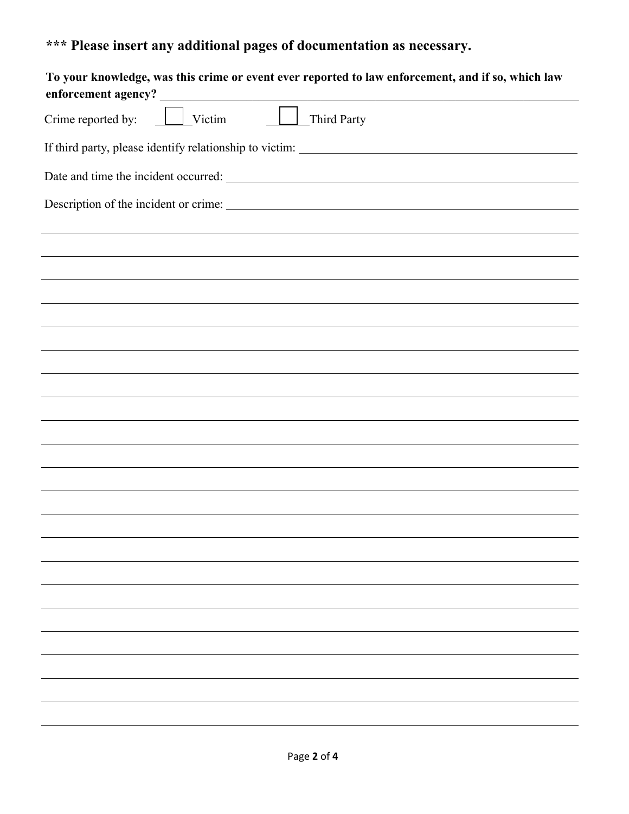# **\*\*\* Please insert any additional pages of documentation as necessary.**

| To your knowledge, was this crime or event ever reported to law enforcement, and if so, which law |
|---------------------------------------------------------------------------------------------------|
| $\boxed{\phantom{1}}$ Victim<br>Crime reported by:<br>Third Party                                 |
|                                                                                                   |
|                                                                                                   |
|                                                                                                   |
|                                                                                                   |
|                                                                                                   |
|                                                                                                   |
|                                                                                                   |
|                                                                                                   |
|                                                                                                   |
|                                                                                                   |
|                                                                                                   |
|                                                                                                   |
|                                                                                                   |
|                                                                                                   |
|                                                                                                   |
|                                                                                                   |
|                                                                                                   |
|                                                                                                   |
|                                                                                                   |
|                                                                                                   |
|                                                                                                   |
|                                                                                                   |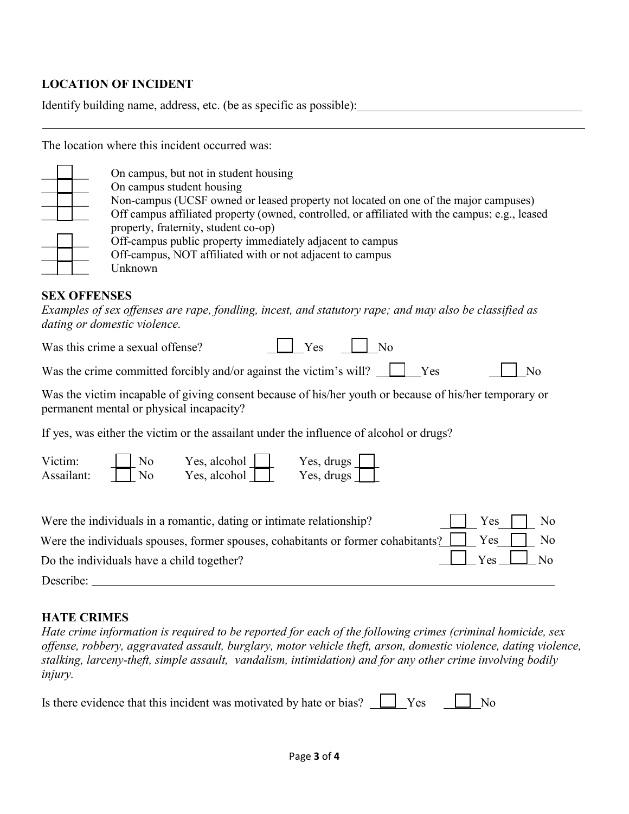### **LOCATION OF INCIDENT**

Identify building name, address, etc. (be as specific as possible):

The location where this incident occurred was:

\_\_\_\_\_\_\_\_ On campus, but not in student housing

On campus student housing

Non-campus (UCSF owned or leased property not located on one of the major campuses)

Off campus affiliated property (owned, controlled, or affiliated with the campus; e.g., leased property, fraternity, student co-op)

Off-campus public property immediately adjacent to campus

Off-campus, NOT affiliated with or not adjacent to campus

\_\_\_\_\_\_\_\_ Unknown

#### **SEX OFFENSES**

*Examples of sex offenses are rape, fondling, incest, and statutory rape; and may also be classified as dating or domestic violence.*

Was this crime a sexual offense?  $\Box$  Yes  $\Box$  No

Was the crime committed forcibly and/or against the victim's will?  $\Box$  Yes  $\Box$  No

Was the victim incapable of giving consent because of his/her youth or because of his/her temporary or permanent mental or physical incapacity?

If yes, was either the victim or the assailant under the influence of alcohol or drugs?

| Victim:    | N <sub>0</sub> | Yes, alcohol | Yes, drugs             |
|------------|----------------|--------------|------------------------|
| Assailant: | No             | Yes, alcohol | Yes, drugs $\parallel$ |

| Were the individuals in a romantic, dating or intimate relationship?                                  | $\Box$ Yes $\Box$ No |  |
|-------------------------------------------------------------------------------------------------------|----------------------|--|
| Were the individuals spouses, former spouses, cohabitants or former cohabitants? $\Box$ Yes $\Box$ No |                      |  |
| Do the individuals have a child together?                                                             | $\Box$ Yes $\Box$ No |  |
| Describe:                                                                                             |                      |  |

### **HATE CRIMES**

*Hate crime information is required to be reported for each of the following crimes (criminal homicide, sex offense, robbery, aggravated assault, burglary, motor vehicle theft, arson, domestic violence, dating violence, stalking, larceny-theft, simple assault, vandalism, intimidation) and for any other crime involving bodily injury.*

| Is there evidence that this incident was motivated by hate or bias? $\Box$ Yes $\Box$ No |  |  |
|------------------------------------------------------------------------------------------|--|--|
|------------------------------------------------------------------------------------------|--|--|